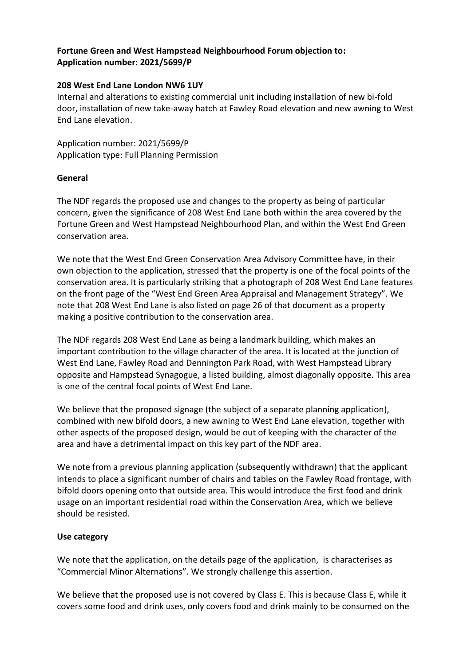# **Fortune Green and West Hampstead Neighbourhood Forum objection to: Application number: 2021/5699/P**

#### **208 West End Lane London NW6 1UY**

Internal and alterations to existing commercial unit including installation of new bi-fold door, installation of new take-away hatch at Fawley Road elevation and new awning to West End Lane elevation.

Application number: 2021/5699/P Application type: Full Planning Permission

### **General**

The NDF regards the proposed use and changes to the property as being of particular concern, given the significance of 208 West End Lane both within the area covered by the Fortune Green and West Hampstead Neighbourhood Plan, and within the West End Green conservation area.

We note that the West End Green Conservation Area Advisory Committee have, in their own objection to the application, stressed that the property is one of the focal points of the conservation area. It is particularly striking that a photograph of 208 West End Lane features on the front page of the "West End Green Area Appraisal and Management Strategy". We note that 208 West End Lane is also listed on page 26 of that document as a property making a positive contribution to the conservation area.

The NDF regards 208 West End Lane as being a landmark building, which makes an important contribution to the village character of the area. It is located at the junction of West End Lane, Fawley Road and Dennington Park Road, with West Hampstead Library opposite and Hampstead Synagogue, a listed building, almost diagonally opposite. This area is one of the central focal points of West End Lane.

We believe that the proposed signage (the subject of a separate planning application), combined with new bifold doors, a new awning to West End Lane elevation, together with other aspects of the proposed design, would be out of keeping with the character of the area and have a detrimental impact on this key part of the NDF area.

We note from a previous planning application (subsequently withdrawn) that the applicant intends to place a significant number of chairs and tables on the Fawley Road frontage, with bifold doors opening onto that outside area. This would introduce the first food and drink usage on an important residential road within the Conservation Area, which we believe should be resisted.

# **Use category**

We note that the application, on the details page of the application, is characterises as "Commercial Minor Alternations". We strongly challenge this assertion.

We believe that the proposed use is not covered by Class E. This is because Class E, while it covers some food and drink uses, only covers food and drink mainly to be consumed on the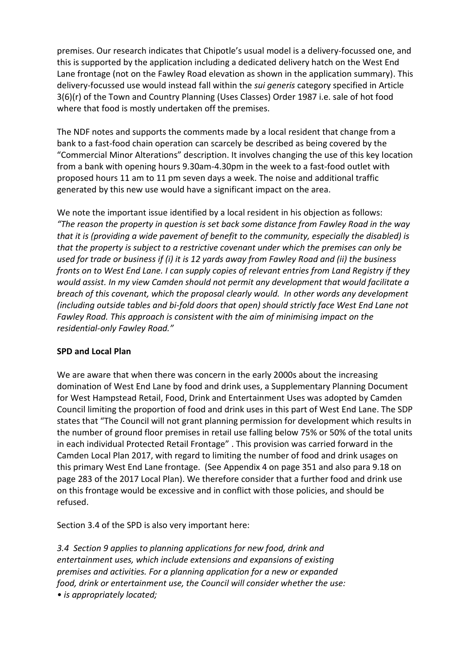premises. Our research indicates that Chipotle's usual model is a delivery-focussed one, and this is supported by the application including a dedicated delivery hatch on the West End Lane frontage (not on the Fawley Road elevation as shown in the application summary). This delivery-focussed use would instead fall within the *sui generis* category specified in Article 3(6)(r) of the Town and Country Planning (Uses Classes) Order 1987 i.e. sale of hot food where that food is mostly undertaken off the premises.

The NDF notes and supports the comments made by a local resident that change from a bank to a fast-food chain operation can scarcely be described as being covered by the "Commercial Minor Alterations" description. It involves changing the use of this key location from a bank with opening hours 9.30am-4.30pm in the week to a fast-food outlet with proposed hours 11 am to 11 pm seven days a week. The noise and additional traffic generated by this new use would have a significant impact on the area.

We note the important issue identified by a local resident in his objection as follows: *"The reason the property in question is set back some distance from Fawley Road in the way that it is (providing a wide pavement of benefit to the community, especially the disabled) is that the property is subject to a restrictive covenant under which the premises can only be used for trade or business if (i) it is 12 yards away from Fawley Road and (ii) the business fronts on to West End Lane. I can supply copies of relevant entries from Land Registry if they would assist. In my view Camden should not permit any development that would facilitate a breach of this covenant, which the proposal clearly would. In other words any development (including outside tables and bi-fold doors that open) should strictly face West End Lane not Fawley Road. This approach is consistent with the aim of minimising impact on the residential-only Fawley Road."*

# **SPD and Local Plan**

We are aware that when there was concern in the early 2000s about the increasing domination of West End Lane by food and drink uses, a Supplementary Planning Document for West Hampstead Retail, Food, Drink and Entertainment Uses was adopted by Camden Council limiting the proportion of food and drink uses in this part of West End Lane. The SDP states that "The Council will not grant planning permission for development which results in the number of ground floor premises in retail use falling below 75% or 50% of the total units in each individual Protected Retail Frontage" . This provision was carried forward in the Camden Local Plan 2017, with regard to limiting the number of food and drink usages on this primary West End Lane frontage. (See Appendix 4 on page 351 and also para 9.18 on page 283 of the 2017 Local Plan). We therefore consider that a further food and drink use on this frontage would be excessive and in conflict with those policies, and should be refused.

Section 3.4 of the SPD is also very important here:

*3.4 Section 9 applies to planning applications for new food, drink and entertainment uses, which include extensions and expansions of existing premises and activities. For a planning application for a new or expanded food, drink or entertainment use, the Council will consider whether the use: • is appropriately located;*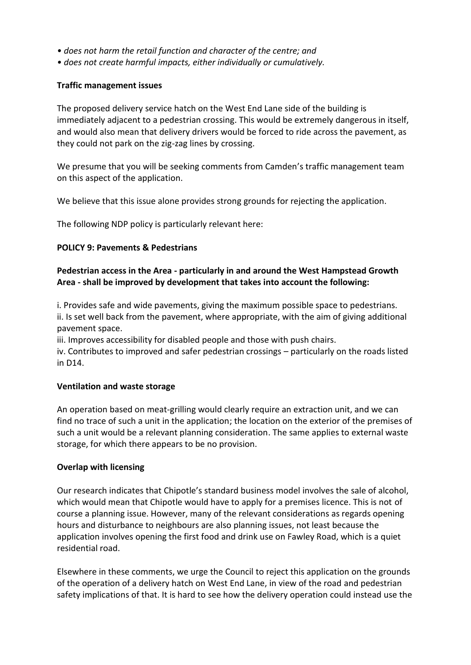- *does not harm the retail function and character of the centre; and*
- *does not create harmful impacts, either individually or cumulatively.*

### **Traffic management issues**

The proposed delivery service hatch on the West End Lane side of the building is immediately adjacent to a pedestrian crossing. This would be extremely dangerous in itself, and would also mean that delivery drivers would be forced to ride across the pavement, as they could not park on the zig-zag lines by crossing.

We presume that you will be seeking comments from Camden's traffic management team on this aspect of the application.

We believe that this issue alone provides strong grounds for rejecting the application.

The following NDP policy is particularly relevant here:

### **POLICY 9: Pavements & Pedestrians**

# **Pedestrian access in the Area - particularly in and around the West Hampstead Growth Area - shall be improved by development that takes into account the following:**

i. Provides safe and wide pavements, giving the maximum possible space to pedestrians. ii. Is set well back from the pavement, where appropriate, with the aim of giving additional pavement space.

iii. Improves accessibility for disabled people and those with push chairs.

iv. Contributes to improved and safer pedestrian crossings – particularly on the roads listed in D14.

#### **Ventilation and waste storage**

An operation based on meat-grilling would clearly require an extraction unit, and we can find no trace of such a unit in the application; the location on the exterior of the premises of such a unit would be a relevant planning consideration. The same applies to external waste storage, for which there appears to be no provision.

#### **Overlap with licensing**

Our research indicates that Chipotle's standard business model involves the sale of alcohol, which would mean that Chipotle would have to apply for a premises licence. This is not of course a planning issue. However, many of the relevant considerations as regards opening hours and disturbance to neighbours are also planning issues, not least because the application involves opening the first food and drink use on Fawley Road, which is a quiet residential road.

Elsewhere in these comments, we urge the Council to reject this application on the grounds of the operation of a delivery hatch on West End Lane, in view of the road and pedestrian safety implications of that. It is hard to see how the delivery operation could instead use the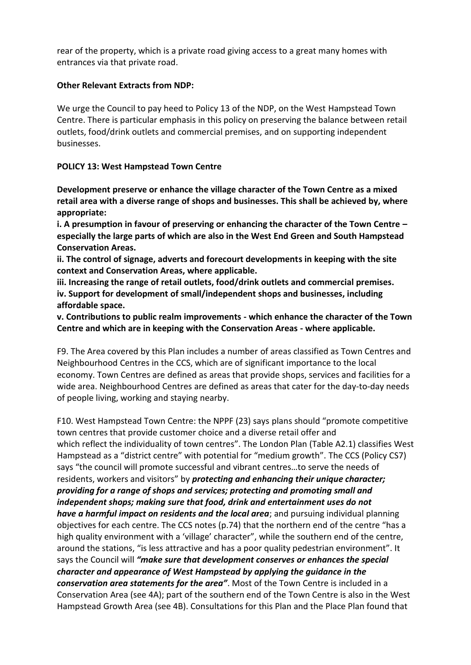rear of the property, which is a private road giving access to a great many homes with entrances via that private road.

### **Other Relevant Extracts from NDP:**

We urge the Council to pay heed to Policy 13 of the NDP, on the West Hampstead Town Centre. There is particular emphasis in this policy on preserving the balance between retail outlets, food/drink outlets and commercial premises, and on supporting independent businesses.

### **POLICY 13: West Hampstead Town Centre**

**Development preserve or enhance the village character of the Town Centre as a mixed retail area with a diverse range of shops and businesses. This shall be achieved by, where appropriate:**

**i. A presumption in favour of preserving or enhancing the character of the Town Centre – especially the large parts of which are also in the West End Green and South Hampstead Conservation Areas.**

**ii. The control of signage, adverts and forecourt developments in keeping with the site context and Conservation Areas, where applicable.**

**iii. Increasing the range of retail outlets, food/drink outlets and commercial premises. iv. Support for development of small/independent shops and businesses, including affordable space.**

**v. Contributions to public realm improvements - which enhance the character of the Town Centre and which are in keeping with the Conservation Areas - where applicable.**

F9. The Area covered by this Plan includes a number of areas classified as Town Centres and Neighbourhood Centres in the CCS, which are of significant importance to the local economy. Town Centres are defined as areas that provide shops, services and facilities for a wide area. Neighbourhood Centres are defined as areas that cater for the day-to-day needs of people living, working and staying nearby.

F10. West Hampstead Town Centre: the NPPF (23) says plans should "promote competitive town centres that provide customer choice and a diverse retail offer and which reflect the individuality of town centres". The London Plan (Table A2.1) classifies West Hampstead as a "district centre" with potential for "medium growth". The CCS (Policy CS7) says "the council will promote successful and vibrant centres…to serve the needs of residents, workers and visitors" by *protecting and enhancing their unique character; providing for a range of shops and services; protecting and promoting small and independent shops; making sure that food, drink and entertainment uses do not have a harmful impact on residents and the local area*; and pursuing individual planning objectives for each centre. The CCS notes (p.74) that the northern end of the centre "has a high quality environment with a 'village' character", while the southern end of the centre, around the stations, "is less attractive and has a poor quality pedestrian environment". It says the Council will *"make sure that development conserves or enhances the special character and appearance of West Hampstead by applying the guidance in the conservation area statements for the area"*. Most of the Town Centre is included in a Conservation Area (see 4A); part of the southern end of the Town Centre is also in the West Hampstead Growth Area (see 4B). Consultations for this Plan and the Place Plan found that